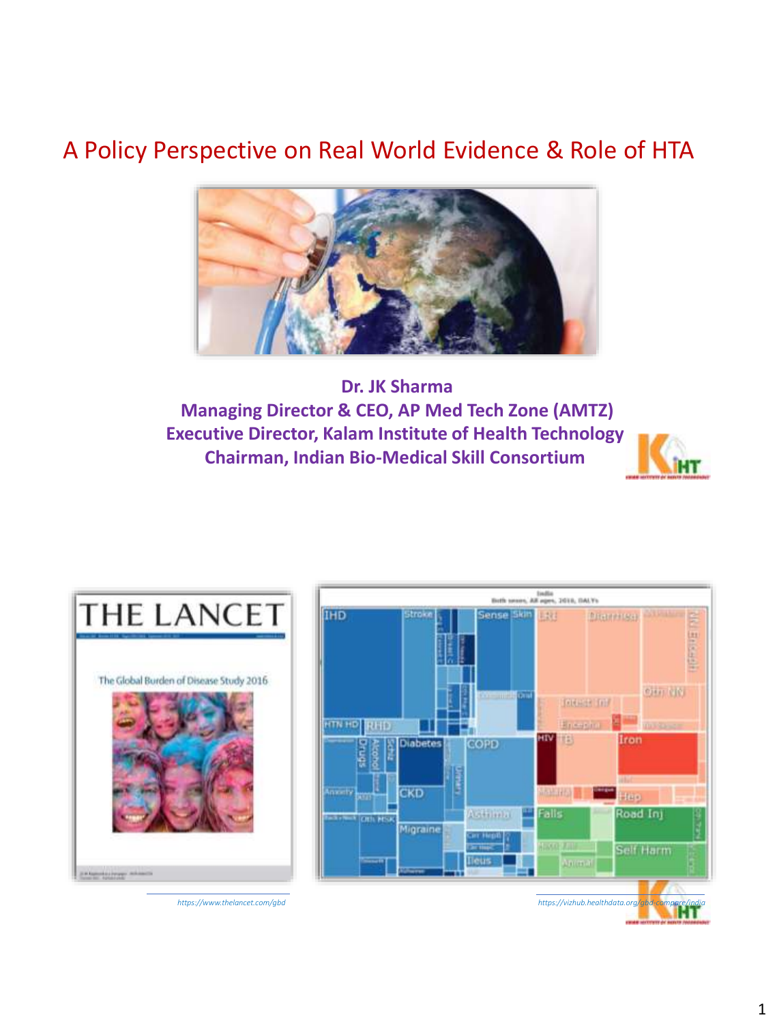## A Policy Perspective on Real World Evidence & Role of HTA



### **Dr. JK Sharma Managing Director & CEO, AP Med Tech Zone (AMTZ) Executive Director, Kalam Institute of Health Technology Chairman, Indian Bio-Medical Skill Consortium**





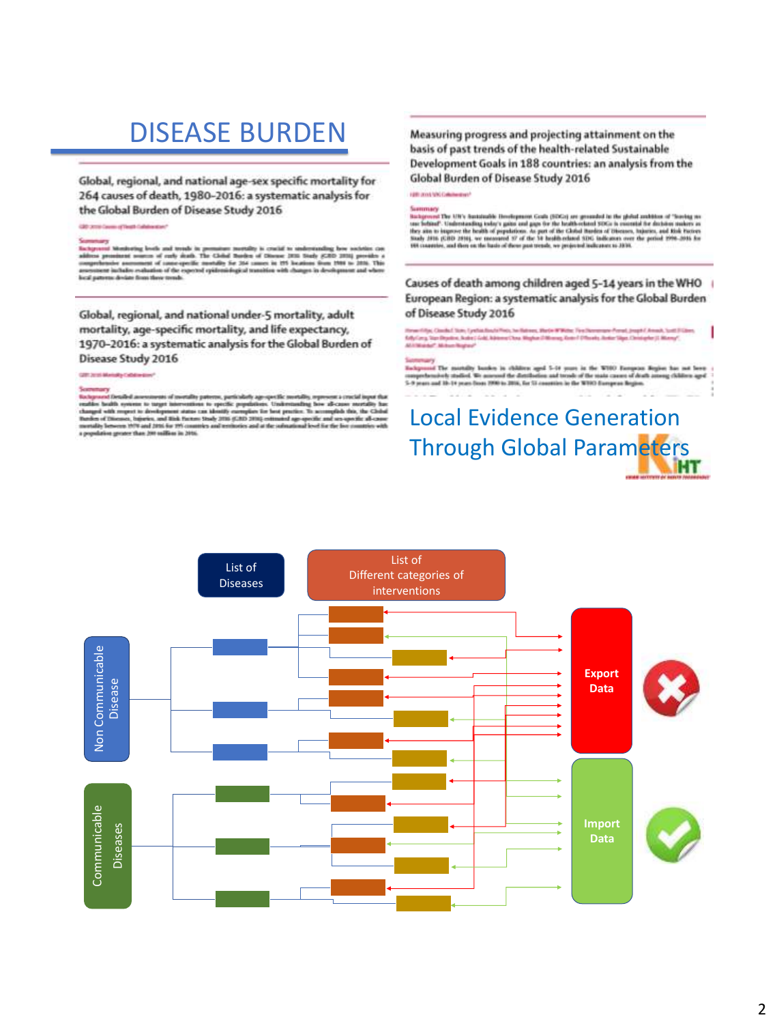## DISEASE BURDEN

Global, regional, and national age-sex specific mortality for 264 causes of death, 1980-2016: a systematic analysis for the Global Burden of Disease Study 2016

enery<br>point Monkering levels and trends in germature mertally is crucial to understanding how such<br>that comments of early death. The Calcial Burden of Olivane 2015 State<br>information assumest of connexpecific montally for 2 best a to deviate fines there trends

Global, regional, and national under-5 mortality, adult mortality, age-specific mortality, and life expectancy, 1970-2016: a systematic analysis for the Global Burden of Disease Study 2016

Secretary<br>Independent considerations of mortality patterns, particularly age-specific metallity, represent a crucial imput that<br>that paint is halo system to transport at an anomaly propositions. Universaling from affects t

### Measuring progress and projecting attainment on the basis of past trends of the health-related Sustainable Development Goals in 188 countries: an analysis from the Global Burden of Disease Study 2016

**GREENWALL CHARGES** 

Sammary<br> Wallenburg De UPV businessiek Heedspanne Gods (1950s) are generated he the pickel zucklose of "leaving as<br> one behind". Understanding teday's gains and gaps for the holds related 950s is executed for disclose suc

### Causes of death among children aged 5-14 years in the WHO European Region: a systematic analysis for the Global Burden of Disease Study 2016

п

Henri (Api, Claudel San, Lynthalisch Pier, Swilstens, Herbe Willer, Frei Stewanse Preud, Juspit / Ansal, Suit<br>Rely Cary, San Depains, Juster Cold, Administration Report Officers, Grand Officers, Antioclips Christopher J. M

Sectionary<br>Endspanned The montailty booken in children aged 5-14 years in the WHO Energeten Region has not be<br>comprehensively studied. We messed the distribution and tensils of the mata causes of death among children ap<br>5sue children and

# Local Evidence Generation Through Global Parameters

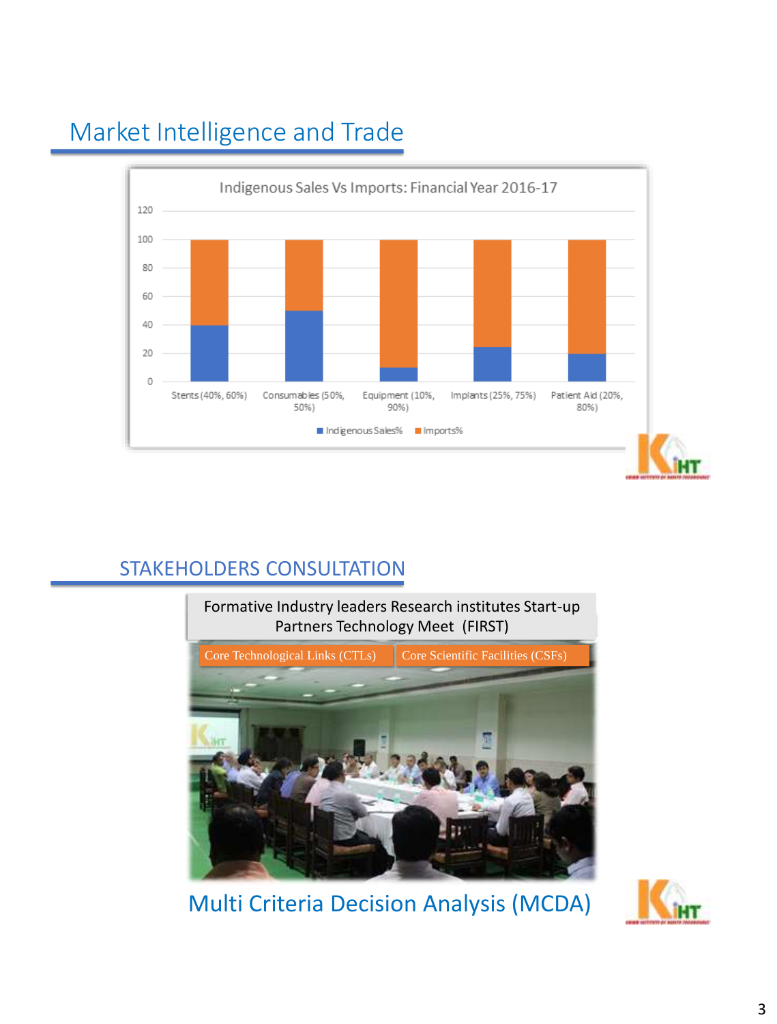

## Market Intelligence and Trade

## STAKEHOLDERS CONSULTATION



Multi Criteria Decision Analysis (MCDA)

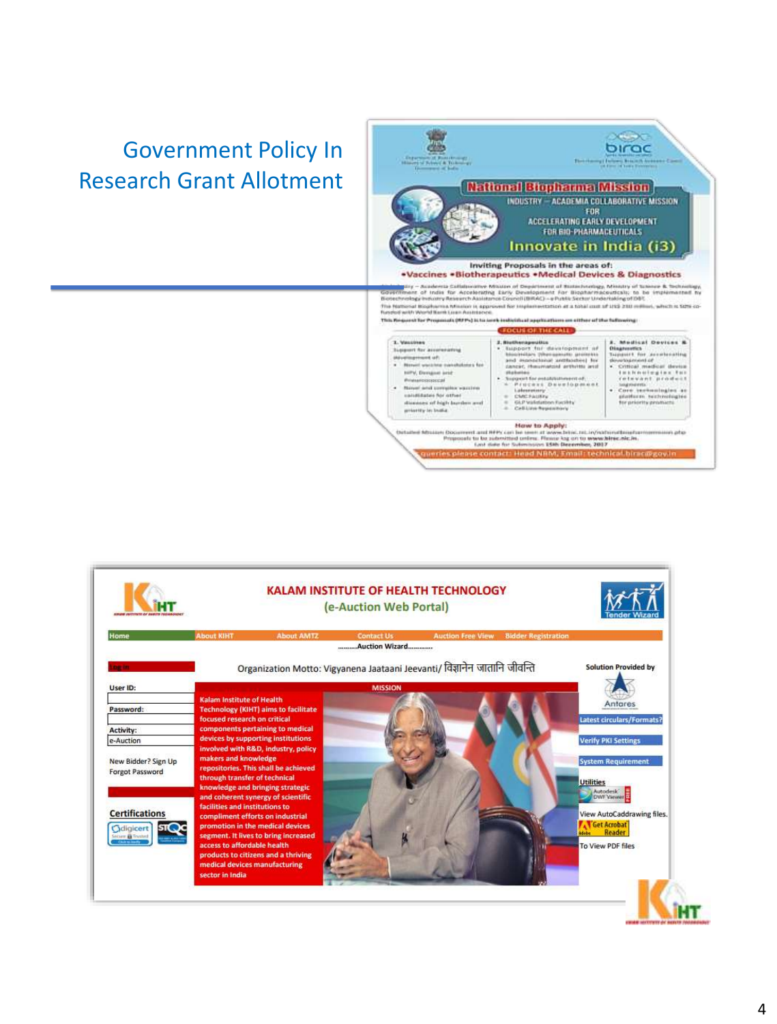## Government Policy In Research Grant Allotment



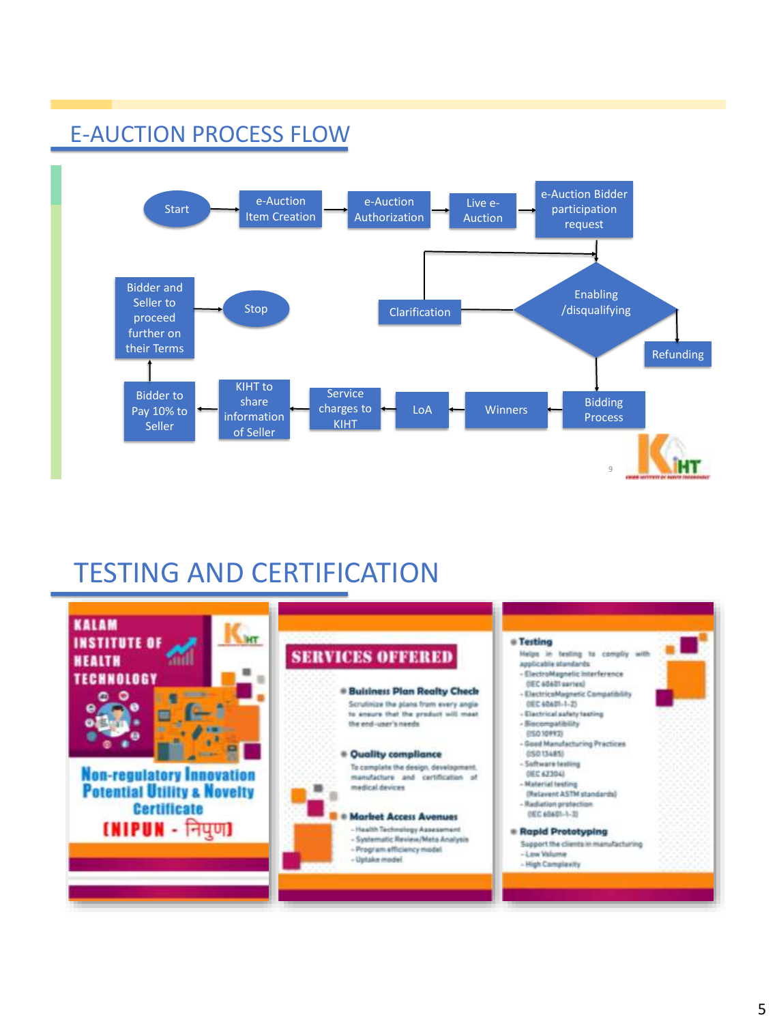

## TESTING AND CERTIFICATION



## E-AUCTION PROCESS FLOW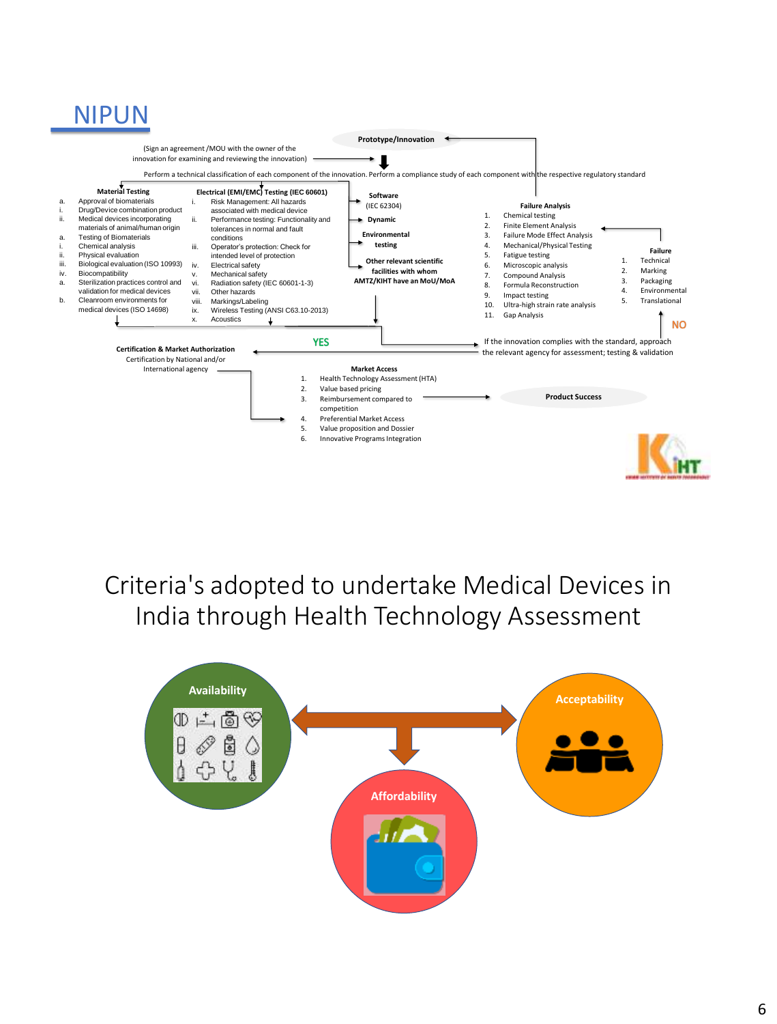## NIPUN



Criteria's adopted to undertake Medical Devices in India through Health Technology Assessment

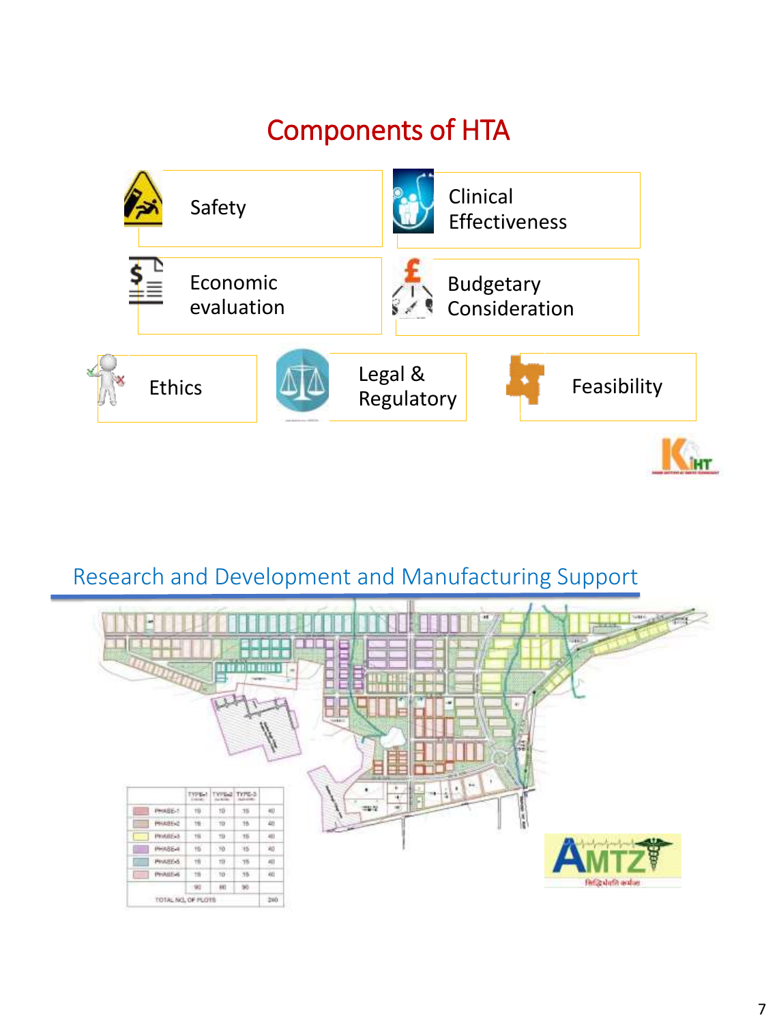# Components of HTA



## Research and Development and Manufacturing Support

| ×              |                    |           | 26 <b>de 32 de gotiv</b> i<br>falsen. |     | SHEE.<br>$\ast$<br><b>CRAIN</b><br><b>SHEE</b><br>-<br>. .<br>×<br>b.<br>٠<br>$\leftarrow$<br>Select<br>$\overline{\phantom{a}}$<br>圖<br>m.<br>$\tilde{\phantom{a}}$<br> |
|----------------|--------------------|-----------|---------------------------------------|-----|--------------------------------------------------------------------------------------------------------------------------------------------------------------------------|
|                | $\tau_{\rm VPE}$   |           | TYPE-2 TYPE-3                         |     | -<br>٠<br>                                                                                                                                                               |
| PHASE-T        | $70-$              | $10 -$    | 35                                    | 40  | 12512<br><b>IN</b>                                                                                                                                                       |
| PHASEN2        | esi<br>19          | $-$<br>10 | 35                                    | 40  | ١s                                                                                                                                                                       |
| <b>PHARE-3</b> | 76                 | TD        | 35                                    | 451 |                                                                                                                                                                          |
| <b>PHASE-4</b> | 15                 | 10        | 35                                    | XO  |                                                                                                                                                                          |
| PHASE-6        | 78                 | 10        | 75                                    | 40  | G,                                                                                                                                                                       |
| PHAILS-6       | 19                 | $-10-$    | 35                                    | 40  | Ref@shifth anduer                                                                                                                                                        |
|                | 90                 | $-101$    | $^{16}$                               |     |                                                                                                                                                                          |
|                | TOTAL NO. OF PLOTS |           |                                       | 240 |                                                                                                                                                                          |